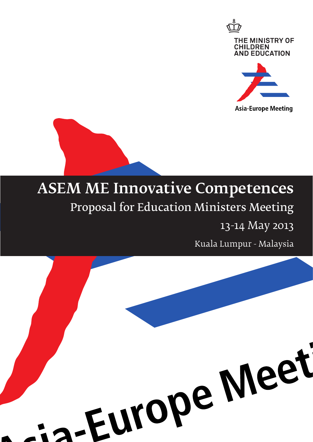

**Asia-Europe Meeting** 

# ASEM ME Innovative Competences Proposal for Education Ministers Meeting

13-14 May 2013

Kuala Lumpur - Malaysia

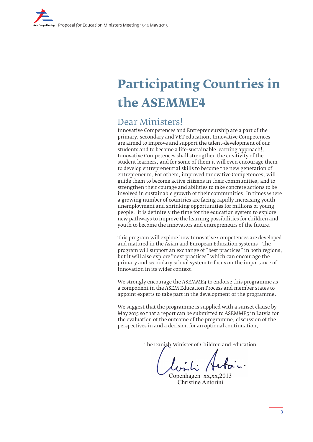# **Participating Countries in the ASEMME4**

### Dear Ministers!

Innovative Competences and Entrepreneurship are a part of the primary, secondary and VET education. Innovative Competences are aimed to improve and support the talent-development of our students and to become a life-sustainable learning approach!. Innovative Competences shall strengthen the creativity of the student learners, and for some of them it will even encourage them to develop entrepreneurial skills to become the new generation of entrepreneurs. For others, improved Innovative Competences, will guide them to become active citizens in their communities, and to strengthen their courage and abilities to take concrete actions to be involved in sustainable growth of their communities. In times where a growing number of countries are facing rapidly increasing youth unemployment and shrinking opportunities for millions of young people, it is definitely the time for the education system to explore new pathways to improve the learning possibilities for children and youth to become the innovators and entrepreneurs of the future.

This program will explore how Innovative Competences are developed and matured in the Asian and European Education systems – The program will support an exchange of "best practices" in both regions, but it will also explore "next practices" which can encourage the primary and secondary school system to focus on the importance of Innovation in its wider context.

We strongly encourage the ASEMME4 to endorse this programme as a component in the ASEM Education Process and member states to appoint experts to take part in the development of the programme.

We suggest that the programme is supplied with a sunset clause by May 2015 so that a report can be submitted to ASEMME5 in Latvia for the evaluation of the outcome of the programme, discussion of the perspectives in and a decision for an optional continuation.

The Danish Minister of Children and Education

Copenhagen xx,xx,2013 Christine Antorini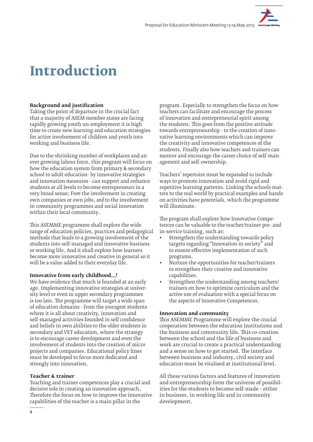## **Introduction**

#### **Background and justification**

Taking the point of departure in the crucial fact that a majority of ASEM member states are facing rapidly growing youth un-employment it is high time to create new learning and education strategies for active involvement of children and youth into working and business life.

Due to the shrinking number of workplaces and an ever growing labour force, this program will focus on how the education system from primary & secondary school to adult education- by innovative strategies and innovation measures - can support and enhance students at all levels to become entrepreneurs in a very broad sense; *From* the involvement in creating own companies or own jobs, *and* to the involvement in community programmes and social innovation within their local community.

This ASEMME programme shall explore the wide range of education policies, practices and pedagogical methods that leads to a growing involvement of the students into self-managed and innovative business or working life. And it shall explore how learners become more innovative and creative in general so it will be a value added to their everyday life.

#### **Innovative from early childhood…!**

We have evidence that much is founded at an early age. Implementing innovative strategies at university level or even in upper secondary programmes is too late. The programme will target a wide span of education domains - from the youngest students where it is all about creativity, innovation and self-managed activities founded in self confidence and beliefs in own abilities to the older students in secondary and VET education, where the strategy is to encourage career development and even the involvement of students into the creation of micro projects and companies. Educational policy lines must be developed to focus more dedicated and strongly into innovation.

#### **Teacher & trainer**

Teaching and trainer competences play a crucial and decisive role in creating an innovative approach. Therefore the focus on how to improve the innovative capabilities of the teacher is a main pillar in the

program. Especially to strengthen the focus on how teachers can facilitate and encourage the process of innovation and entrepreneurial spirit among the students. This goes from the positive attitude towards entrepreneurship - to the creation of innovative learning environments which can improve the creativity and innovative competences of the students. Finally also how teachers and trainers can mentor and encourage the career choice of self-management and self-ownership.

Teachers' repertoire must be expanded to include ways to promote innovation and avoid rigid and repetitive learning patterns. Linking the schools matters to the real world by practical examples and hands on activities have potentials, which the programme will illuminate.

The program shall explore how Innovative Competences can be valuable to the teacher/trainer pre- and in-service training, such as:

- Strengthen the understanding towards policy targets regarding "Innovation in society" and to ensure effective implementation of such programs.
- Nurture the opportunities for teacher/trainers to strengthen their creative and innovative capabilities.
- Strengthen the understanding among teachers/ trainers on how to optimize curriculum and the active use of evaluation with a special focus on the aspects of Innovative Competences.

#### **Innovation and community**

This ASEMME Programme will explore the crucial cooperation between the education institutions and the business and community life. This co-creation between the school and the life of business and work are crucial to create a practical understanding and a sense on how to get started. The interface between business and industry, civil society and education must be vitalised at institutional level

All these various factors and features of innovation and entrepreneurship form the universe of possibilities for the students to become self-made – either in business, in working life and in community development.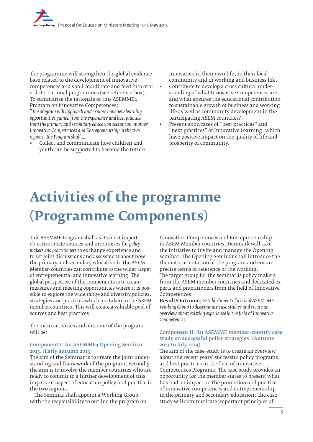The programme will strengthen the global evidence base related to the development of innovative competences and shall coordinate and feed into other international programmes (see reference-box). To summarise the rationale of this ASEMME4 Program on Innovative Competences;

*"The program will approach and explore how new learning opportunities gained from the experience and best practice from the primary and secondary education sector can improve Innovative Competences and Entrepreneurship in the two regions. The Program shall…..*

• Collect and communicate how children and youth can be supported to become the future innovators in their own life, in their local community and in working and business life.

• Contribute to develop a cross cultural understanding of what Innovative Competences are, and what ensures the educational contribution to sustainable growth of business and working life as well as community development in the participating ASEM countries?.

Present showcases of "best practices" and "next practices" of Innovative Learning, which have positive impact on the quality of life and prosperity of community.

# **Activities of the programme (Programme Components)**

This ASEMME Program shall as its most import objective create sources and inventories for *policy makers and practitioners* to exchange experience and to set joint discussions and assessment about how the primary and secondary education in the ASEM Member-countries can contribute to the wider target of entrepreneurial and innovative learning. The global perspective of the components is to create measures and meeting opportunities where it is possible to explore the wide range and diversity policies, strategies and practices which are taken in the ASEM member countries. This will create a valuable pool of sources and best practices.

The main activities and outcome of the program will be:

#### Component I: An ASEMME4 Opening Seminar 2013. (Early autumn 2013)

The aim of the Seminar is to create the joint understanding and framework of the program. Secondly the aim is to involve the member countries who are ready to commit to a further development of this important aspect of education policy and practice in the two regions.

The Seminar shall appoint a Working Group with the responsibility to outline the program on Innovation Competences and Entrepreneurship in ASEM Member countries. Denmark will take the initiative to invite and manage the Opening seminar. The Opening Seminar shall introduce the thematic orientation of the program and ensure precise terms of reference of the working. The target group for the seminar is policy makers from the ASEM member countries and dedicated experts and practitioners from the field of Innovative Competences.

Result/Outcome; *Establishment of a broad ASEM-ME Working Group to disseminate case studies and create an overview about existing experience in the field of Innovative Competences*

#### Component II: An ASEMME member-country case study on successful policy strategies. (Autumn 2013 to July 2014)

The aim of the case-study is to create an overview about the recent years' successful policy programs, and best practices in the field of Innovative Competences Programs. The case study provides an opportunity for the member states to present what has had an impact on the promotion and practice of innovative competences and entrepreneurship in the primary and secondary education. The case study will communicate important principles of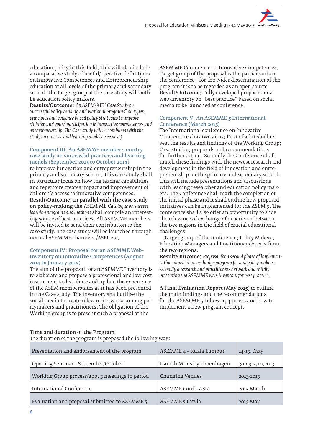education policy in this field. This will also include a comparative study of useful/operative definitions on Innovative Competences and Entrepreneurship education at all levels of the primary and secondary school. The target group of the case study will both be education policy makers.

Results/Outcome; *An ASEM-ME "Case Study on Successful Policy Making and National Programs" on types, principles and evidence based policy strategies to improve children and youth participation in innovative competences and entrepreneurship. The Case study will be combined with the study on practice and learning models (see next)*

#### Component III; An ASEMME member-country case study on successful practices and learning models (September 2013 to October 2014)

to improve innovation and entrepreneurship in the primary and secondary school. This case study shall in particular focus on how the teacher capabilities and repertoire creates impact and improvement of children's access to innovative competences. Result/Outcome; in parallel with the case study on policy-making the ASEM ME *Catalogue on success learning programs and methods* shall compile an interesting source of best practices. All ASEM ME members will be invited to send their contribution to the case study. The case study will be launched through normal ASEM ME channels./ASEF etc.

#### Component IV; Proposal for an ASEMME Web-Inventory on Innovative Competences (August 2014 to January 2015)

The aim of the proposal for an ASEMME Inventory is to elaborate and propose a professional and low cost instrument to distribute and update the experience of the ASEM memberstates as it has been presented in the Case study. The inventory shall utilise the social media to create relevant networks among policymakers and practitioners. The obligation of the Working group is to present such a proposal at the

ASEM ME Conference on Innovative Competences. Target group of the proposal is the participants in the conference – for the wider dissemination of the program it is to be regarded as an open source. Result/Outcome; Fully developed proposal for a web-inventory on "best practice" based on social media to be launched at conference.

#### Component V; An ASEMME 5 International Conference (March 2015)

The International conference on Innovative Competences has two aims; First of all it shall reveal the results and findings of the Working Group; Case studies, proposals and recommendations for further action. Secondly the Conference shall match these findings with the newest research and development in the field of Innovation and entrepreneurship for the primary and secondary school. This will include presentations and discussions with leading researcher and education policy makers. The Conference shall mark the completion of the initial phase and it shall outline how proposed initiatives can be implemented for the ASEM 5. The conference shall also offer an opportunity to shoe the relevance of exchange of experience between the two regions in the field of crucial educational challenges.

Target group of the conference; Policy Makers, Education Managers and Practitioner experts from the two regions.

Result/Outcome; *Proposal for a second phase of implementation aimed at an exchange program for and policy makers; secondly a research and practitioners network and thirdly presenting the ASEMME web-Inventory for best practice.*

A Final Evaluation Report (May 2015) to outline the main findings and the recommendations for the ASEM ME 5 Follow up process and how to implement a new program concept.

#### Time and duration of the Program

The duration of the program is proposed the following way:

| Presentation and endorsement of the program     | ASEMME 4 - Kuala Lumpur    | 14-15. May      |
|-------------------------------------------------|----------------------------|-----------------|
| Opening Seminar - September/October             | Danish Ministry Copenhagen | 30.09-2.10.2013 |
| Working Group process/app. 5 meetings in period | Changing Venues            | 2013-2015       |
| International Conference                        | <b>ASEMME Conf-ASIA</b>    | 2015 March      |
| Evaluation and proposal submitted to ASEMME 5   | <b>ASEMME</b> 5 Latvia     | 2015 May        |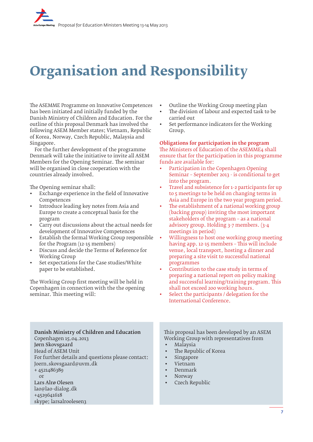# **Organisation and Responsibility**

The ASEMME Programme on Innovative Competences has been initiated and initially funded by the Danish Ministry of Children and Education. For the outline of this proposal Denmark has involved the following ASEM Member states; Vietnam, Republic of Korea, Norway, Czech Republic, Malaysia and Singapore.

For the further development of the programme Denmark will take the initiative to invite all ASEM Members for the Opening Seminar. The seminar will be organised in close cooperation with the countries already involved.

The Opening seminar shall:

- Exchange experience in the field of Innovative Competences
- Introduce leading key notes from Asia and Europe to create a conceptual basis for the program
- Carry out discussions about the actual needs for development of Innovative Competences
- Establish the formal Working Group responsible for the Program (12-15 members)
- Discuss and decide the Terms of Reference for Working Group
- Set expectations for the Case studies/White paper to be established.

The Working Group first meeting will be held in Copenhagen in connection with the the opening seminar. This meeting will:

- Outline the Working Group meeting plan
- The division of labour and expected task to be carried out
- Set performance indicators for the Working Group.

Obligations for participation in the program The Ministers of Education of the ASEMME4 shall ensure that for the participation in this programme funds are available for:

- Participation in the Copenhagen Opening Seminar – September 2013 - is conditional to get into the program.
- Travel and subsistence for 1-2 participants for up to 5 meetings to be held on changing terms in Asia and Europe in the two year program period.
- The establishment of a national working group (backing group) inviting the most important stakeholders of the program – as a national advisory group. Holding 3-7 members. (3-4 meetings in period)
- Willingness to host one working group meeting having app. 12-15 members – This will include venue, local transport, hosting a dinner and preparing a site visit to successful national programmes
- Contribution to the case study in terms of preparing a national report on policy making and successful learning/training program. This shall not exceed 200 working hours.
- Select the participants / delegation for the International Conference.

Danish Ministry of Children and Education Copenhagen 15.04.2013 Jørn Skovsgaard Head of ASEM Unit For further details and questions please contact: Joern.skovsgaard@uvm.dk + 4521486389  $\alpha$ r Lars Alrø Olesen lao@lao-dialog.dk +4529641618 skype; larsalroolesen3

This proposal has been developed by an ASEM Working Group with representatives from

- Malaysia
- The Republic of Korea
- **Singapore**
- Vietnam
- Denmark
- Norway
- Czech Republic